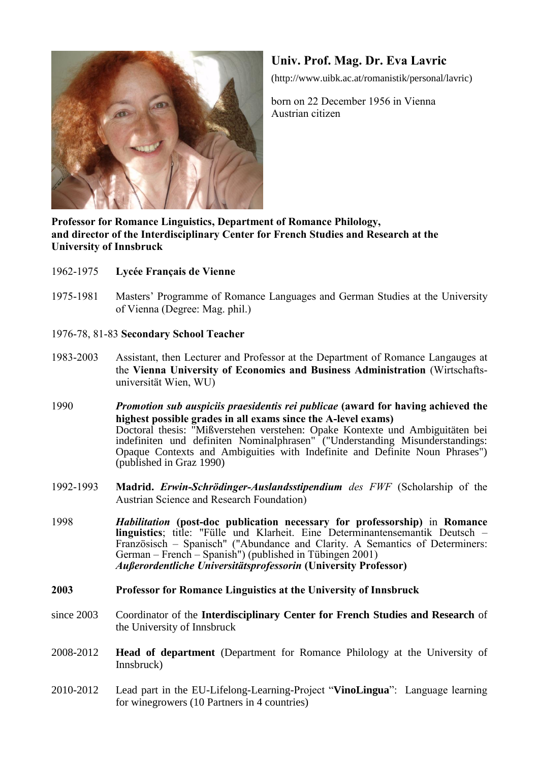

## **Univ. Prof. Mag. Dr. Eva Lavric**

(http://www.uibk.ac.at/romanistik/personal/lavric)

born on 22 December 1956 in Vienna Austrian citizen

**Professor for Romance Linguistics, Department of Romance Philology, and director of the Interdisciplinary Center for French Studies and Research at the University of Innsbruck**

- 1962-1975 **Lycée Français de Vienne**
- 1975-1981 Masters' Programme of Romance Languages and German Studies at the University of Vienna (Degree: Mag. phil.)
- 1976-78, 81-83 **Secondary School Teacher**
- 1983-2003 Assistant, then Lecturer and Professor at the Department of Romance Langauges at the **Vienna University of Economics and Business Administration** (Wirtschaftsuniversität Wien, WU)
- 1990 *Promotion sub auspiciis praesidentis rei publicae* **(award for having achieved the highest possible grades in all exams since the A-level exams)** Doctoral thesis: "Mißverstehen verstehen: Opake Kontexte und Ambiguitäten bei indefiniten und definiten Nominalphrasen" ("Understanding Misunderstandings: Opaque Contexts and Ambiguities with Indefinite and Definite Noun Phrases") (published in Graz 1990)
- 1992-1993 **Madrid.** *Erwin-Schrödinger-Auslandsstipendium des FWF* (Scholarship of the Austrian Science and Research Foundation)
- 1998 *Habilitation* **(post-doc publication necessary for professorship)** in **Romance linguistics**; title: "Fülle und Klarheit. Eine Determinantensemantik Deutsch – Französisch – Spanisch" ("Abundance and Clarity. A Semantics of Determiners: German – French – Spanish") (published in Tübingen 2001) *Außerordentliche Universitätsprofessorin* **(University Professor)**
- **2003 Professor for Romance Linguistics at the University of Innsbruck**
- since 2003 Coordinator of the **Interdisciplinary Center for French Studies and Research** of the University of Innsbruck
- 2008-2012 **Head of department** (Department for Romance Philology at the University of Innsbruck)
- 2010-2012 Lead part in the EU-Lifelong-Learning-Project "**VinoLingua**": Language learning for winegrowers (10 Partners in 4 countries)